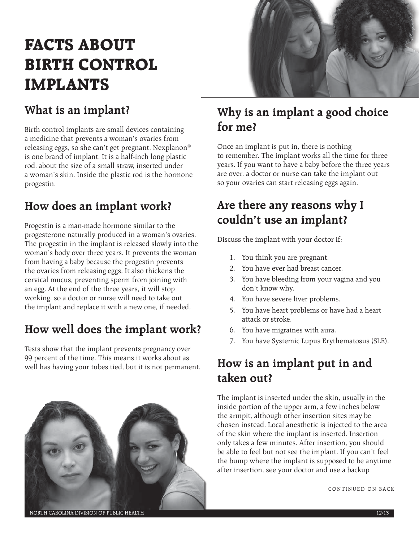# **FACTS ABOUT BIRTH CONTROL IMPLANTS**

## **What is an implant?**

Birth control implants are small devices containing a medicine that prevents a woman's ovaries from releasing eggs, so she can't get pregnant. Nexplanon® is one brand of implant. It is a half-inch long plastic rod, about the size of a small straw, inserted under a woman's skin. Inside the plastic rod is the hormone progestin.

#### **How does an implant work?**

Progestin is a man-made hormone similar to the progesterone naturally produced in a woman's ovaries. The progestin in the implant is released slowly into the woman's body over three years. It prevents the woman from having a baby because the progestin prevents the ovaries from releasing eggs. It also thickens the cervical mucus, preventing sperm from joining with an egg. At the end of the three years, it will stop working, so a doctor or nurse will need to take out the implant and replace it with a new one, if needed.

## **How well does the implant work?**

Tests show that the implant prevents pregnancy over 99 percent of the time. This means it works about as well has having your tubes tied, but it is not permanent.



## **Why is an implant a good choice for me?**

Once an implant is put in, there is nothing to remember. The implant works all the time for three years. If you want to have a baby before the three years are over, a doctor or nurse can take the implant out so your ovaries can start releasing eggs again.

## **Are there any reasons why I couldn't use an implant?**

Discuss the implant with your doctor if:

- 1. You think you are pregnant.
- 2. You have ever had breast cancer.
- 3. You have bleeding from your vagina and you don't know why.
- 4. You have severe liver problems.
- 5. You have heart problems or have had a heart attack or stroke.
- 6. You have migraines with aura.
- 7. You have Systemic Lupus Erythematosus (SLE).

## **How is an implant put in and taken out?**

The implant is inserted under the skin, usually in the inside portion of the upper arm, a few inches below the armpit, although other insertion sites may be chosen instead. Local anesthetic is injected to the area of the skin where the implant is inserted. Insertion only takes a few minutes. After insertion, you should be able to feel but not see the implant. If you can't feel the bump where the implant is supposed to be anytime after insertion, see your doctor and use a backup

CONTINUED ON BACK

NORTH CAROLINA DIVISION OF PUBLIC HEALTH 12/13